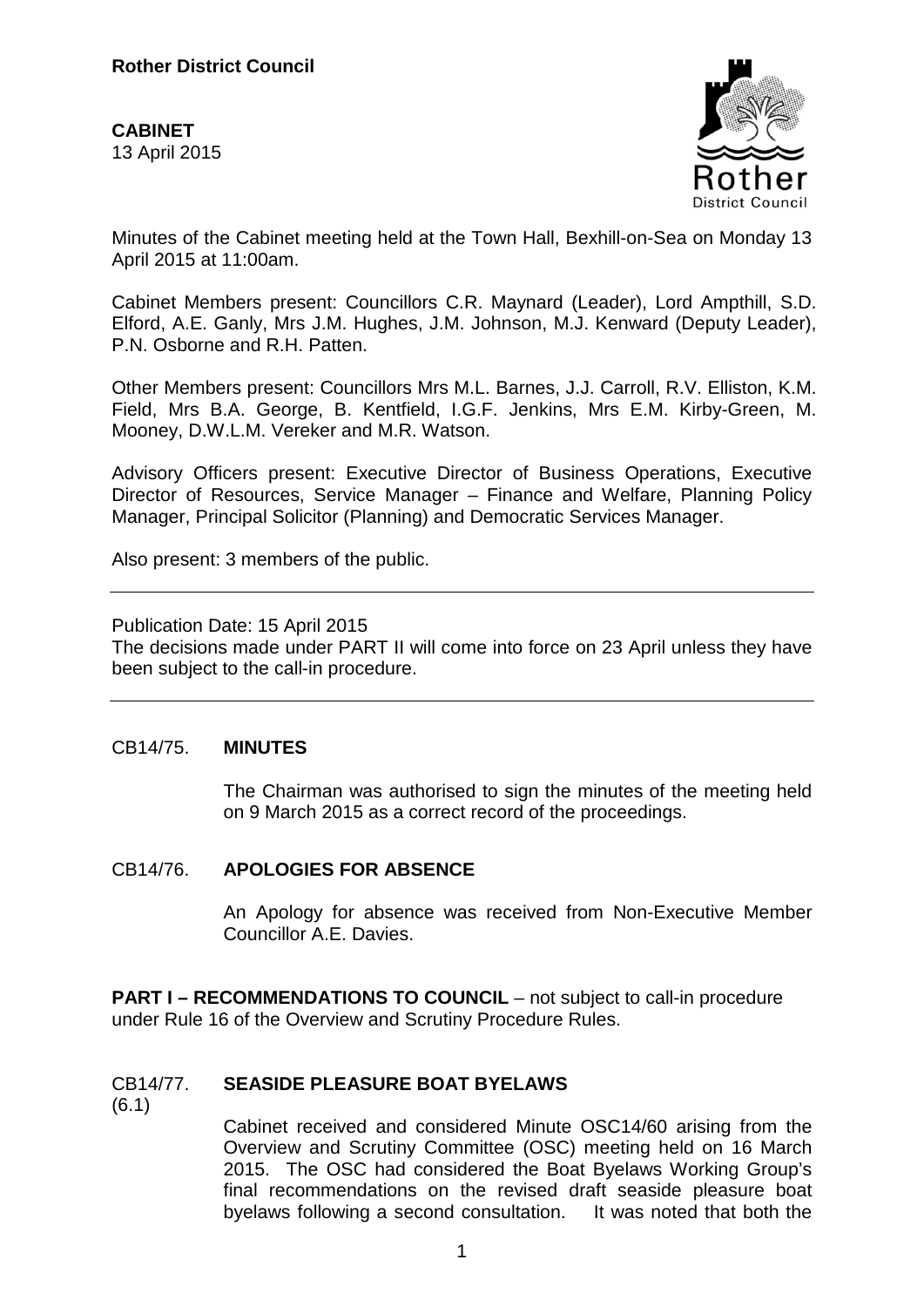**CABINET**  13 April 2015



Minutes of the Cabinet meeting held at the Town Hall, Bexhill-on-Sea on Monday 13 April 2015 at 11:00am.

Cabinet Members present: Councillors C.R. Maynard (Leader), Lord Ampthill, S.D. Elford, A.E. Ganly, Mrs J.M. Hughes, J.M. Johnson, M.J. Kenward (Deputy Leader), P.N. Osborne and R.H. Patten.

Other Members present: Councillors Mrs M.L. Barnes, J.J. Carroll, R.V. Elliston, K.M. Field, Mrs B.A. George, B. Kentfield, I.G.F. Jenkins, Mrs E.M. Kirby-Green, M. Mooney, D.W.L.M. Vereker and M.R. Watson.

Advisory Officers present: Executive Director of Business Operations, Executive Director of Resources, Service Manager – Finance and Welfare, Planning Policy Manager, Principal Solicitor (Planning) and Democratic Services Manager.

Also present: 3 members of the public.

Publication Date: 15 April 2015

The decisions made under PART II will come into force on 23 April unless they have been subject to the call-in procedure.

## CB14/75. **MINUTES**

The Chairman was authorised to sign the minutes of the meeting held on 9 March 2015 as a correct record of the proceedings.

## CB14/76. **APOLOGIES FOR ABSENCE**

An Apology for absence was received from Non-Executive Member Councillor A.E. Davies.

**PART I – RECOMMENDATIONS TO COUNCIL** – not subject to call-in procedure under Rule 16 of the Overview and Scrutiny Procedure Rules.

## CB14/77. **SEASIDE PLEASURE BOAT BYELAWS**

(6.1)

Cabinet received and considered Minute OSC14/60 arising from the Overview and Scrutiny Committee (OSC) meeting held on 16 March 2015. The OSC had considered the Boat Byelaws Working Group's final recommendations on the revised draft seaside pleasure boat byelaws following a second consultation. It was noted that both the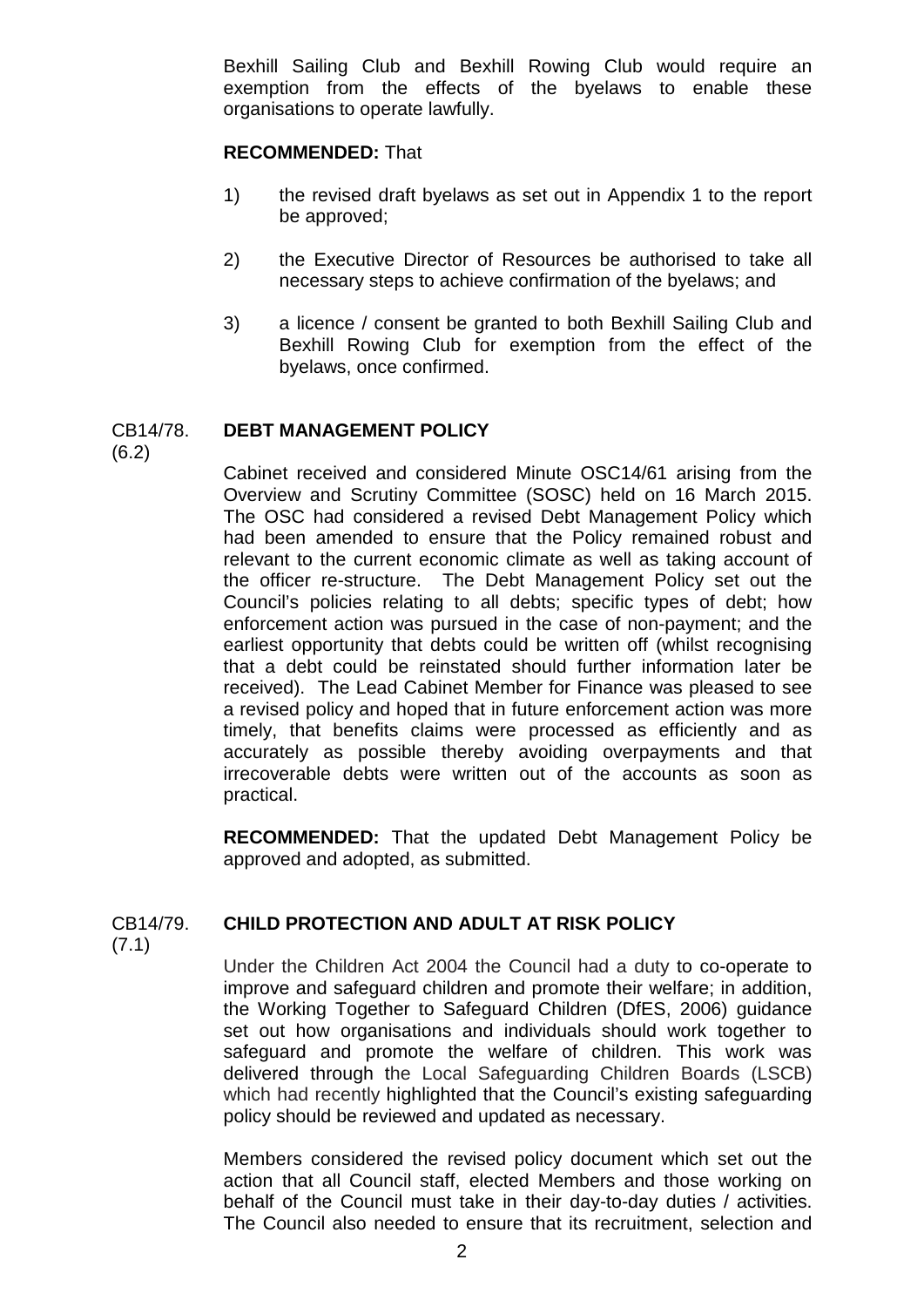Bexhill Sailing Club and Bexhill Rowing Club would require an exemption from the effects of the byelaws to enable these organisations to operate lawfully.

## **RECOMMENDED:** That

- 1) the revised draft byelaws as set out in Appendix 1 to the report be approved;
- 2) the Executive Director of Resources be authorised to take all necessary steps to achieve confirmation of the byelaws; and
- 3) a licence / consent be granted to both Bexhill Sailing Club and Bexhill Rowing Club for exemption from the effect of the byelaws, once confirmed.

## CB14/78. **DEBT MANAGEMENT POLICY**

(6.2)

Cabinet received and considered Minute OSC14/61 arising from the Overview and Scrutiny Committee (SOSC) held on 16 March 2015. The OSC had considered a revised Debt Management Policy which had been amended to ensure that the Policy remained robust and relevant to the current economic climate as well as taking account of the officer re-structure. The Debt Management Policy set out the Council's policies relating to all debts; specific types of debt; how enforcement action was pursued in the case of non-payment; and the earliest opportunity that debts could be written off (whilst recognising that a debt could be reinstated should further information later be received). The Lead Cabinet Member for Finance was pleased to see a revised policy and hoped that in future enforcement action was more timely, that benefits claims were processed as efficiently and as accurately as possible thereby avoiding overpayments and that irrecoverable debts were written out of the accounts as soon as practical.

**RECOMMENDED:** That the updated Debt Management Policy be approved and adopted, as submitted.

# CB14/79. **CHILD PROTECTION AND ADULT AT RISK POLICY**

 $(7.1)$ 

Under the Children Act 2004 the Council had a duty to co-operate to improve and safeguard children and promote their welfare; in addition, the Working Together to Safeguard Children (DfES, 2006) guidance set out how organisations and individuals should work together to safeguard and promote the welfare of children. This work was delivered through the Local Safeguarding Children Boards (LSCB) which had recently highlighted that the Council's existing safeguarding policy should be reviewed and updated as necessary.

Members considered the revised policy document which set out the action that all Council staff, elected Members and those working on behalf of the Council must take in their day-to-day duties / activities. The Council also needed to ensure that its recruitment, selection and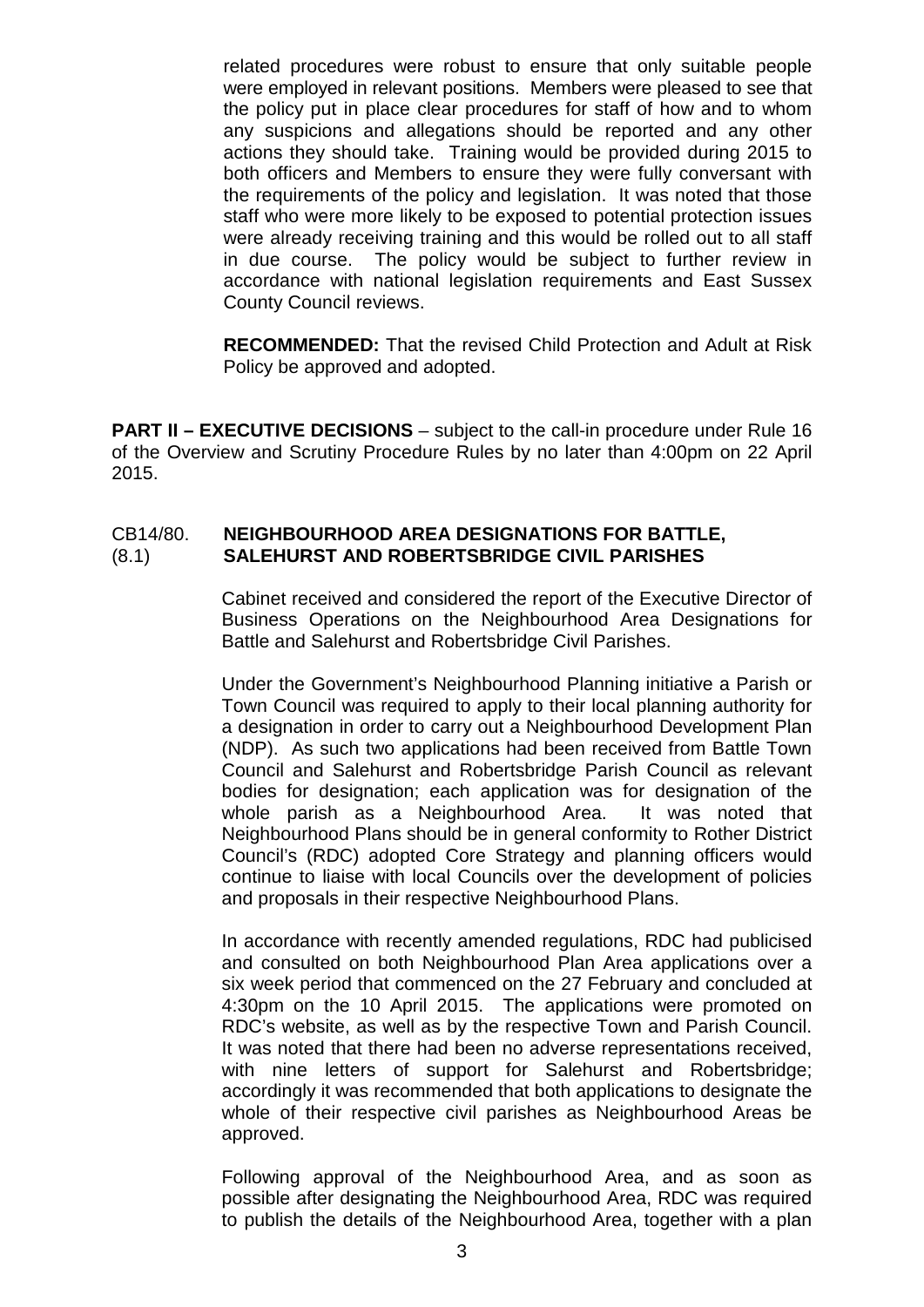related procedures were robust to ensure that only suitable people were employed in relevant positions. Members were pleased to see that the policy put in place clear procedures for staff of how and to whom any suspicions and allegations should be reported and any other actions they should take. Training would be provided during 2015 to both officers and Members to ensure they were fully conversant with the requirements of the policy and legislation. It was noted that those staff who were more likely to be exposed to potential protection issues were already receiving training and this would be rolled out to all staff in due course. The policy would be subject to further review in accordance with national legislation requirements and East Sussex County Council reviews.

**RECOMMENDED:** That the revised Child Protection and Adult at Risk Policy be approved and adopted.

**PART II – EXECUTIVE DECISIONS** – subject to the call-in procedure under Rule 16 of the Overview and Scrutiny Procedure Rules by no later than 4:00pm on 22 April 2015.

## CB14/80. **NEIGHBOURHOOD AREA DESIGNATIONS FOR BATTLE,**  (8.1) **SALEHURST AND ROBERTSBRIDGE CIVIL PARISHES**

Cabinet received and considered the report of the Executive Director of Business Operations on the Neighbourhood Area Designations for Battle and Salehurst and Robertsbridge Civil Parishes.

Under the Government's Neighbourhood Planning initiative a Parish or Town Council was required to apply to their local planning authority for a designation in order to carry out a Neighbourhood Development Plan (NDP). As such two applications had been received from Battle Town Council and Salehurst and Robertsbridge Parish Council as relevant bodies for designation; each application was for designation of the whole parish as a Neighbourhood Area. It was noted that Neighbourhood Plans should be in general conformity to Rother District Council's (RDC) adopted Core Strategy and planning officers would continue to liaise with local Councils over the development of policies and proposals in their respective Neighbourhood Plans.

In accordance with recently amended regulations, RDC had publicised and consulted on both Neighbourhood Plan Area applications over a six week period that commenced on the 27 February and concluded at 4:30pm on the 10 April 2015. The applications were promoted on RDC's website, as well as by the respective Town and Parish Council. It was noted that there had been no adverse representations received, with nine letters of support for Salehurst and Robertsbridge; accordingly it was recommended that both applications to designate the whole of their respective civil parishes as Neighbourhood Areas be approved.

Following approval of the Neighbourhood Area, and as soon as possible after designating the Neighbourhood Area, RDC was required to publish the details of the Neighbourhood Area, together with a plan